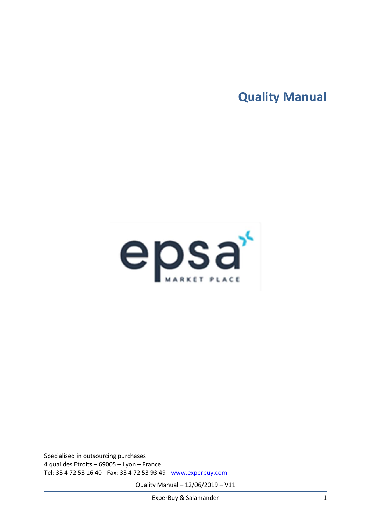**Quality Manual**



Specialised in outsourcing purchases 4 quai des Etroits – 69005 – Lyon – France Tel: 33 4 72 53 16 40 - Fax: 33 4 72 53 93 49 - [www.experbuy.com](http://www.experbuy.com/)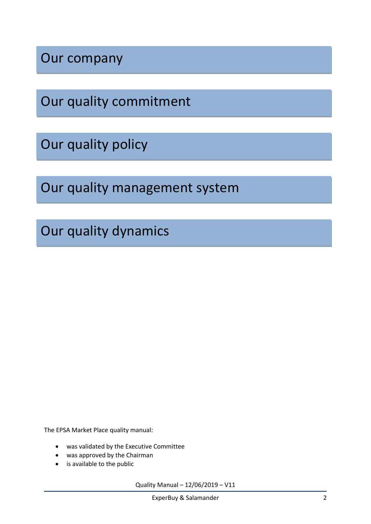Our company

Our quality commitment

Our quality policy

Our quality management system

Our quality dynamics

The EPSA Market Place quality manual:

- was validated by the Executive Committee
- was approved by the Chairman
- is available to the public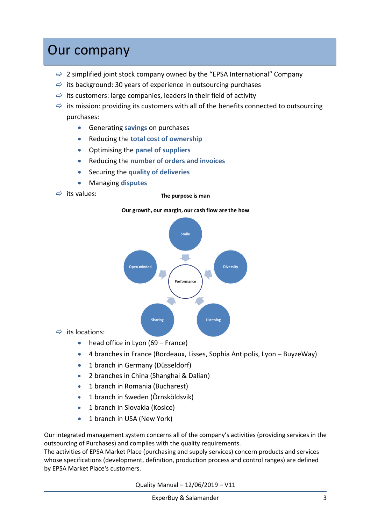### Our company

- $\Rightarrow$  2 simplified joint stock company owned by the "EPSA International" Company
- $\Rightarrow$  its background: 30 years of experience in outsourcing purchases
- $\Rightarrow$  its customers: large companies, leaders in their field of activity
- $\Rightarrow$  its mission: providing its customers with all of the benefits connected to outsourcing purchases:
	- Generating **savings** on purchases
	- Reducing the **total cost of ownership**
	- Optimising the **panel of suppliers**
	- Reducing the **number of orders and invoices**
	- Securing the **quality of deliveries**
	- Managing **disputes**

 $\Rightarrow$  its values:

#### The purpose is man





 $\Rightarrow$  its locations:

- head office in Lyon (69 France)
- 4 branches in France (Bordeaux, Lisses, Sophia Antipolis, Lyon BuyzeWay)
- 1 branch in Germany (Düsseldorf)
- 2 branches in China (Shanghai & Dalian)
- 1 branch in Romania (Bucharest)
- 1 branch in Sweden (Örnsköldsvik)
- 1 branch in Slovakia (Kosice)
- 1 branch in USA (New York)

Our integrated management system concerns all of the company's activities (providing services in the outsourcing of Purchases) and complies with the quality requirements.

The activities of EPSA Market Place (purchasing and supply services) concern products and services whose specifications (development, definition, production process and control ranges) are defined by EPSA Market Place's customers.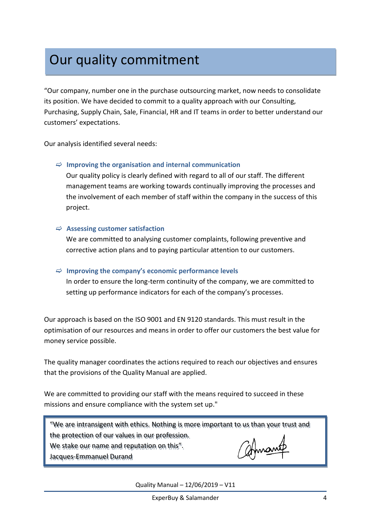# Our quality commitment

"Our company, number one in the purchase outsourcing market, now needs to consolidate its position. We have decided to commit to a quality approach with our Consulting, Purchasing, Supply Chain, Sale, Financial, HR and IT teams in order to better understand our customers' expectations.

Our analysis identified several needs:

#### **Improving the organisation and internal communication**

Our quality policy is clearly defined with regard to all of our staff. The different management teams are working towards continually improving the processes and the involvement of each member of staff within the company in the success of this project.

#### **Assessing customer satisfaction**

We are committed to analysing customer complaints, following preventive and corrective action plans and to paying particular attention to our customers.

### $\Rightarrow$  Improving the company's economic performance levels

In order to ensure the long-term continuity of the company, we are committed to setting up performance indicators for each of the company's processes.

Our approach is based on the ISO 9001 and EN 9120 standards. This must result in the optimisation of our resources and means in order to offer our customers the best value for money service possible.

The quality manager coordinates the actions required to reach our objectives and ensures that the provisions of the Quality Manual are applied.

We are committed to providing our staff with the means required to succeed in these missions and ensure compliance with the system set up."

"We are intransigent with ethics. Nothing is more important to us than your trust and the protection of our values in our profession.

We stake our name and reputation on this".

Jacques-Emmanuel Durand

atmant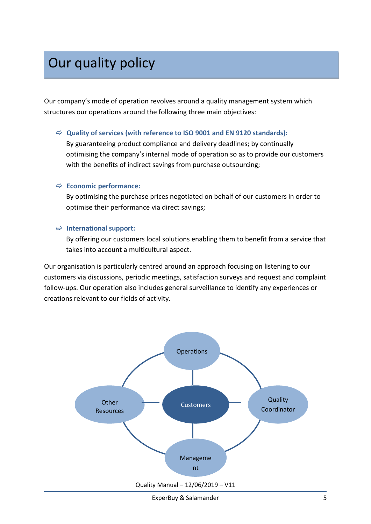# Our quality policy

Our company's mode of operation revolves around a quality management system which structures our operations around the following three main objectives:

#### **Quality of services (with reference to ISO 9001 and EN 9120 standards):**

By guaranteeing product compliance and delivery deadlines; by continually optimising the company's internal mode of operation so as to provide our customers with the benefits of indirect savings from purchase outsourcing;

#### **Economic performance:**

By optimising the purchase prices negotiated on behalf of our customers in order to optimise their performance via direct savings;

#### **International support:**

By offering our customers local solutions enabling them to benefit from a service that takes into account a multicultural aspect.

Our organisation is particularly centred around an approach focusing on listening to our customers via discussions, periodic meetings, satisfaction surveys and request and complaint follow-ups. Our operation also includes general surveillance to identify any experiences or creations relevant to our fields of activity.

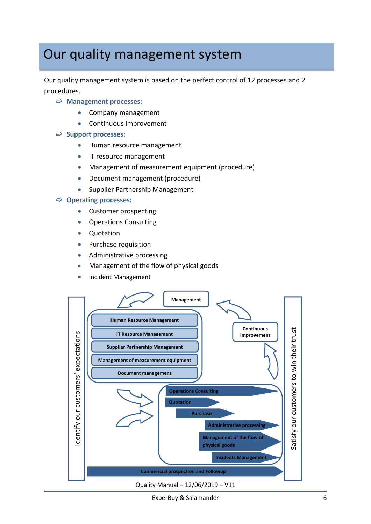### Our quality management system

Our quality management system is based on the perfect control of 12 processes and 2 procedures.

- **Management processes:**
	- Company management
	- Continuous improvement
- **Support processes:**
	- Human resource management
	- **•** IT resource management
	- Management of measurement equipment (procedure)
	- Document management (procedure)
	- Supplier Partnership Management

#### **Operating processes:**

- Customer prospecting
- Operations Consulting
- Quotation
- Purchase requisition
- Administrative processing
- Management of the flow of physical goods
- Incident Management

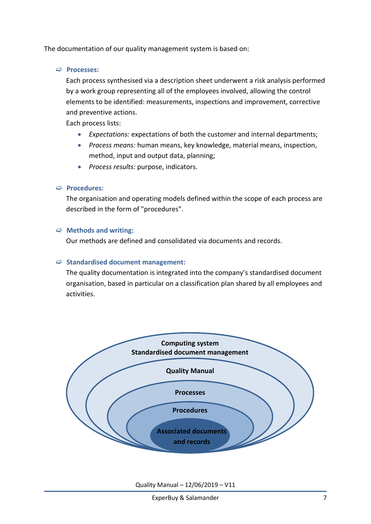The documentation of our quality management system is based on:

**Processes:**

Each process synthesised via a description sheet underwent a risk analysis performed by a work group representing all of the employees involved, allowing the control elements to be identified: measurements, inspections and improvement, corrective and preventive actions.

Each process lists:

- *Expectations:* expectations of both the customer and internal departments;
- *Process means:* human means, key knowledge, material means, inspection, method, input and output data, planning;
- *Process results:* purpose, indicators.

#### **Procedures:**

The organisation and operating models defined within the scope of each process are described in the form of "procedures".

#### **Methods and writing:**

Our methods are defined and consolidated via documents and records.

#### **Standardised document management:**

The quality documentation is integrated into the company's standardised document organisation, based in particular on a classification plan shared by all employees and activities.